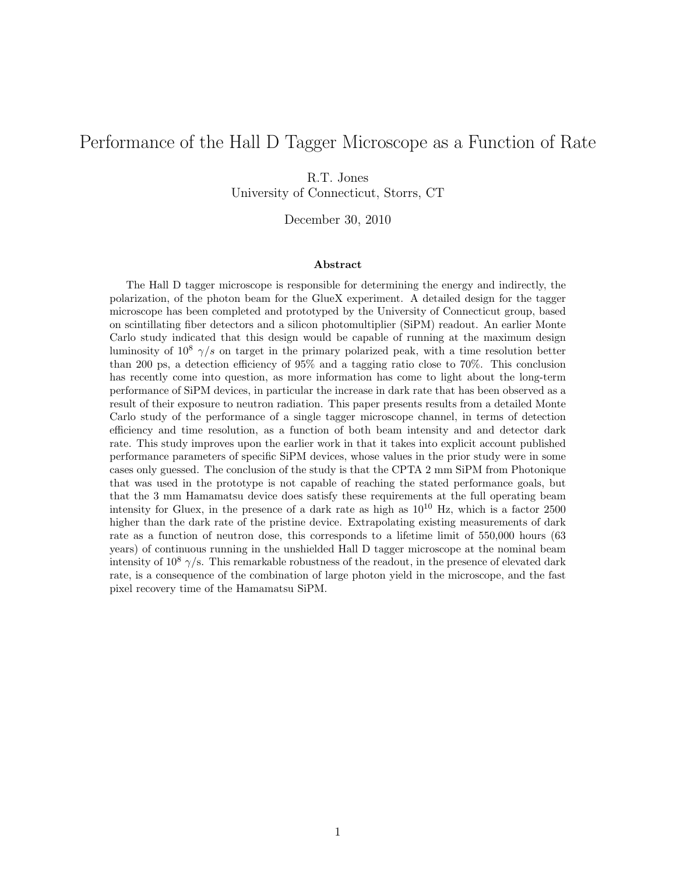# Performance of the Hall D Tagger Microscope as a Function of Rate

R.T. Jones

University of Connecticut, Storrs, CT

December 30, 2010

#### Abstract

The Hall D tagger microscope is responsible for determining the energy and indirectly, the polarization, of the photon beam for the GlueX experiment. A detailed design for the tagger microscope has been completed and prototyped by the University of Connecticut group, based on scintillating fiber detectors and a silicon photomultiplier (SiPM) readout. An earlier Monte Carlo study indicated that this design would be capable of running at the maximum design luminosity of  $10^8$   $\gamma/s$  on target in the primary polarized peak, with a time resolution better than 200 ps, a detection efficiency of 95% and a tagging ratio close to 70%. This conclusion has recently come into question, as more information has come to light about the long-term performance of SiPM devices, in particular the increase in dark rate that has been observed as a result of their exposure to neutron radiation. This paper presents results from a detailed Monte Carlo study of the performance of a single tagger microscope channel, in terms of detection efficiency and time resolution, as a function of both beam intensity and and detector dark rate. This study improves upon the earlier work in that it takes into explicit account published performance parameters of specific SiPM devices, whose values in the prior study were in some cases only guessed. The conclusion of the study is that the CPTA 2 mm SiPM from Photonique that was used in the prototype is not capable of reaching the stated performance goals, but that the 3 mm Hamamatsu device does satisfy these requirements at the full operating beam intensity for Gluex, in the presence of a dark rate as high as  $10^{10}$  Hz, which is a factor 2500 higher than the dark rate of the pristine device. Extrapolating existing measurements of dark rate as a function of neutron dose, this corresponds to a lifetime limit of 550,000 hours (63 years) of continuous running in the unshielded Hall D tagger microscope at the nominal beam intensity of  $10^8$   $\gamma$ /s. This remarkable robustness of the readout, in the presence of elevated dark rate, is a consequence of the combination of large photon yield in the microscope, and the fast pixel recovery time of the Hamamatsu SiPM.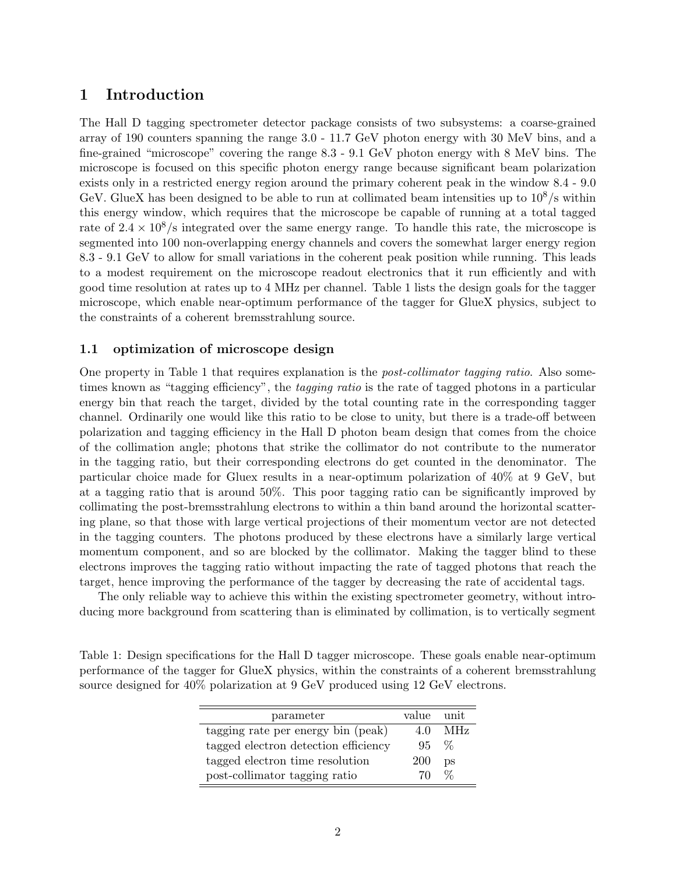# 1 Introduction

The Hall D tagging spectrometer detector package consists of two subsystems: a coarse-grained array of 190 counters spanning the range 3.0 - 11.7 GeV photon energy with 30 MeV bins, and a fine-grained "microscope" covering the range 8.3 - 9.1 GeV photon energy with 8 MeV bins. The microscope is focused on this specific photon energy range because significant beam polarization exists only in a restricted energy region around the primary coherent peak in the window 8.4 - 9.0 GeV. GlueX has been designed to be able to run at collimated beam intensities up to  $10^8$ /s within this energy window, which requires that the microscope be capable of running at a total tagged rate of  $2.4 \times 10^8$ /s integrated over the same energy range. To handle this rate, the microscope is segmented into 100 non-overlapping energy channels and covers the somewhat larger energy region 8.3 - 9.1 GeV to allow for small variations in the coherent peak position while running. This leads to a modest requirement on the microscope readout electronics that it run efficiently and with good time resolution at rates up to 4 MHz per channel. Table 1 lists the design goals for the tagger microscope, which enable near-optimum performance of the tagger for GlueX physics, subject to the constraints of a coherent bremsstrahlung source.

### 1.1 optimization of microscope design

One property in Table 1 that requires explanation is the *post-collimator tagging ratio*. Also sometimes known as "tagging efficiency", the *tagging ratio* is the rate of tagged photons in a particular energy bin that reach the target, divided by the total counting rate in the corresponding tagger channel. Ordinarily one would like this ratio to be close to unity, but there is a trade-off between polarization and tagging efficiency in the Hall D photon beam design that comes from the choice of the collimation angle; photons that strike the collimator do not contribute to the numerator in the tagging ratio, but their corresponding electrons do get counted in the denominator. The particular choice made for Gluex results in a near-optimum polarization of 40% at 9 GeV, but at a tagging ratio that is around 50%. This poor tagging ratio can be significantly improved by collimating the post-bremsstrahlung electrons to within a thin band around the horizontal scattering plane, so that those with large vertical projections of their momentum vector are not detected in the tagging counters. The photons produced by these electrons have a similarly large vertical momentum component, and so are blocked by the collimator. Making the tagger blind to these electrons improves the tagging ratio without impacting the rate of tagged photons that reach the target, hence improving the performance of the tagger by decreasing the rate of accidental tags.

The only reliable way to achieve this within the existing spectrometer geometry, without introducing more background from scattering than is eliminated by collimation, is to vertically segment

Table 1: Design specifications for the Hall D tagger microscope. These goals enable near-optimum performance of the tagger for GlueX physics, within the constraints of a coherent bremsstrahlung source designed for 40% polarization at 9 GeV produced using 12 GeV electrons.

| parameter                            | value unit |     |
|--------------------------------------|------------|-----|
| tagging rate per energy bin (peak)   | 40         | MHz |
| tagged electron detection efficiency | 95.        | %   |
| tagged electron time resolution      | 200        | рs  |
| post-collimator tagging ratio        | 70.        | ℅   |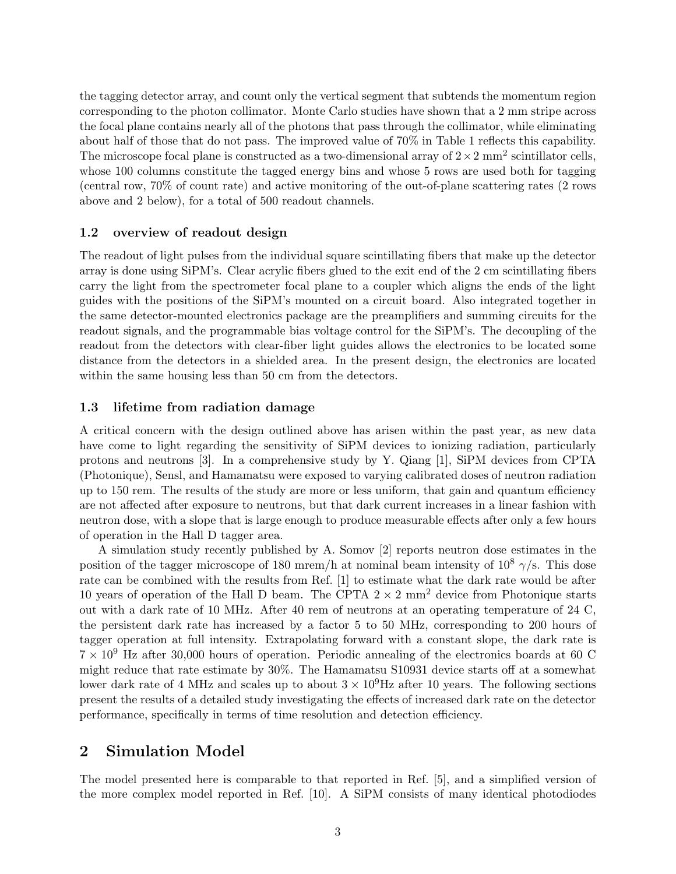the tagging detector array, and count only the vertical segment that subtends the momentum region corresponding to the photon collimator. Monte Carlo studies have shown that a 2 mm stripe across the focal plane contains nearly all of the photons that pass through the collimator, while eliminating about half of those that do not pass. The improved value of 70% in Table 1 reflects this capability. The microscope focal plane is constructed as a two-dimensional array of  $2 \times 2$  mm<sup>2</sup> scintillator cells, whose 100 columns constitute the tagged energy bins and whose 5 rows are used both for tagging (central row, 70% of count rate) and active monitoring of the out-of-plane scattering rates (2 rows above and 2 below), for a total of 500 readout channels.

#### 1.2 overview of readout design

The readout of light pulses from the individual square scintillating fibers that make up the detector array is done using SiPM's. Clear acrylic fibers glued to the exit end of the 2 cm scintillating fibers carry the light from the spectrometer focal plane to a coupler which aligns the ends of the light guides with the positions of the SiPM's mounted on a circuit board. Also integrated together in the same detector-mounted electronics package are the preamplifiers and summing circuits for the readout signals, and the programmable bias voltage control for the SiPM's. The decoupling of the readout from the detectors with clear-fiber light guides allows the electronics to be located some distance from the detectors in a shielded area. In the present design, the electronics are located within the same housing less than 50 cm from the detectors.

#### 1.3 lifetime from radiation damage

A critical concern with the design outlined above has arisen within the past year, as new data have come to light regarding the sensitivity of SiPM devices to ionizing radiation, particularly protons and neutrons [3]. In a comprehensive study by Y. Qiang [1], SiPM devices from CPTA (Photonique), Sensl, and Hamamatsu were exposed to varying calibrated doses of neutron radiation up to 150 rem. The results of the study are more or less uniform, that gain and quantum efficiency are not affected after exposure to neutrons, but that dark current increases in a linear fashion with neutron dose, with a slope that is large enough to produce measurable effects after only a few hours of operation in the Hall D tagger area.

A simulation study recently published by A. Somov [2] reports neutron dose estimates in the position of the tagger microscope of 180 mrem/h at nominal beam intensity of  $10^8 \gamma/s$ . This dose rate can be combined with the results from Ref. [1] to estimate what the dark rate would be after 10 years of operation of the Hall D beam. The CPTA  $2 \times 2$  mm<sup>2</sup> device from Photonique starts out with a dark rate of 10 MHz. After 40 rem of neutrons at an operating temperature of 24 C, the persistent dark rate has increased by a factor 5 to 50 MHz, corresponding to 200 hours of tagger operation at full intensity. Extrapolating forward with a constant slope, the dark rate is  $7 \times 10^9$  Hz after 30,000 hours of operation. Periodic annealing of the electronics boards at 60 C might reduce that rate estimate by 30%. The Hamamatsu S10931 device starts off at a somewhat lower dark rate of 4 MHz and scales up to about  $3 \times 10^9$ Hz after 10 years. The following sections present the results of a detailed study investigating the effects of increased dark rate on the detector performance, specifically in terms of time resolution and detection efficiency.

# 2 Simulation Model

The model presented here is comparable to that reported in Ref. [5], and a simplified version of the more complex model reported in Ref. [10]. A SiPM consists of many identical photodiodes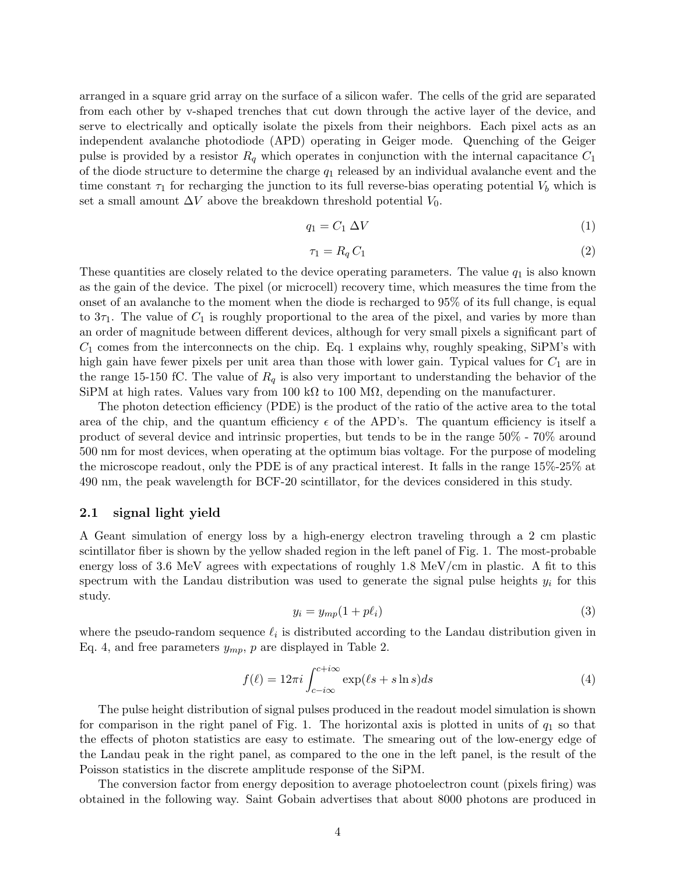arranged in a square grid array on the surface of a silicon wafer. The cells of the grid are separated from each other by v-shaped trenches that cut down through the active layer of the device, and serve to electrically and optically isolate the pixels from their neighbors. Each pixel acts as an independent avalanche photodiode (APD) operating in Geiger mode. Quenching of the Geiger pulse is provided by a resistor  $R_q$  which operates in conjunction with the internal capacitance  $C_1$ of the diode structure to determine the charge  $q_1$  released by an individual avalanche event and the time constant  $\tau_1$  for recharging the junction to its full reverse-bias operating potential  $V_b$  which is set a small amount  $\Delta V$  above the breakdown threshold potential  $V_0$ .

$$
q_1 = C_1 \Delta V \tag{1}
$$

$$
\tau_1 = R_q C_1 \tag{2}
$$

These quantities are closely related to the device operating parameters. The value  $q_1$  is also known as the gain of the device. The pixel (or microcell) recovery time, which measures the time from the onset of an avalanche to the moment when the diode is recharged to 95% of its full change, is equal to  $3\tau_1$ . The value of  $C_1$  is roughly proportional to the area of the pixel, and varies by more than an order of magnitude between different devices, although for very small pixels a significant part of  $C_1$  comes from the interconnects on the chip. Eq. 1 explains why, roughly speaking, SiPM's with high gain have fewer pixels per unit area than those with lower gain. Typical values for  $C_1$  are in the range 15-150 fC. The value of  $R<sub>q</sub>$  is also very important to understanding the behavior of the SiPM at high rates. Values vary from 100 k $\Omega$  to 100 M $\Omega$ , depending on the manufacturer.

The photon detection efficiency (PDE) is the product of the ratio of the active area to the total area of the chip, and the quantum efficiency  $\epsilon$  of the APD's. The quantum efficiency is itself a product of several device and intrinsic properties, but tends to be in the range 50% - 70% around 500 nm for most devices, when operating at the optimum bias voltage. For the purpose of modeling the microscope readout, only the PDE is of any practical interest. It falls in the range 15%-25% at 490 nm, the peak wavelength for BCF-20 scintillator, for the devices considered in this study.

#### 2.1 signal light yield

A Geant simulation of energy loss by a high-energy electron traveling through a 2 cm plastic scintillator fiber is shown by the yellow shaded region in the left panel of Fig. 1. The most-probable energy loss of 3.6 MeV agrees with expectations of roughly 1.8 MeV/cm in plastic. A fit to this spectrum with the Landau distribution was used to generate the signal pulse heights  $y_i$  for this study.

$$
y_i = y_{mp}(1 + p\ell_i) \tag{3}
$$

where the pseudo-random sequence  $\ell_i$  is distributed according to the Landau distribution given in Eq. 4, and free parameters  $y_{mp}$ , p are displayed in Table 2.

$$
f(\ell) = 12\pi i \int_{c-i\infty}^{c+i\infty} \exp(\ell s + s \ln s) ds \tag{4}
$$

The pulse height distribution of signal pulses produced in the readout model simulation is shown for comparison in the right panel of Fig. 1. The horizontal axis is plotted in units of  $q_1$  so that the effects of photon statistics are easy to estimate. The smearing out of the low-energy edge of the Landau peak in the right panel, as compared to the one in the left panel, is the result of the Poisson statistics in the discrete amplitude response of the SiPM.

The conversion factor from energy deposition to average photoelectron count (pixels firing) was obtained in the following way. Saint Gobain advertises that about 8000 photons are produced in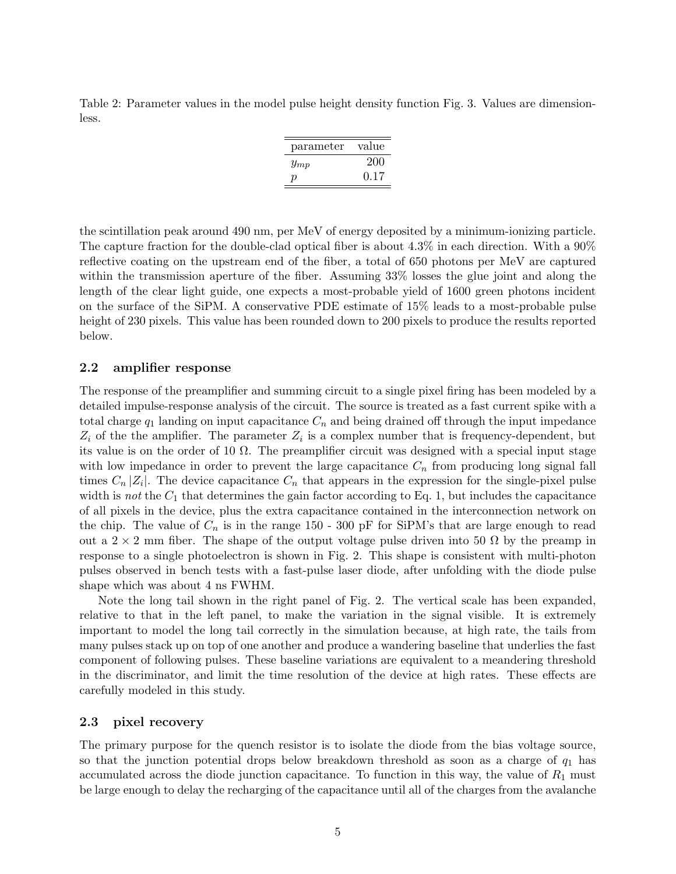Table 2: Parameter values in the model pulse height density function Fig. 3. Values are dimensionless.

| parameter | value |
|-----------|-------|
| $y_{mp}$  | 200   |
| D         | 0.17  |

the scintillation peak around 490 nm, per MeV of energy deposited by a minimum-ionizing particle. The capture fraction for the double-clad optical fiber is about 4.3% in each direction. With a 90% reflective coating on the upstream end of the fiber, a total of 650 photons per MeV are captured within the transmission aperture of the fiber. Assuming 33% losses the glue joint and along the length of the clear light guide, one expects a most-probable yield of 1600 green photons incident on the surface of the SiPM. A conservative PDE estimate of 15% leads to a most-probable pulse height of 230 pixels. This value has been rounded down to 200 pixels to produce the results reported below.

#### 2.2 amplifier response

The response of the preamplifier and summing circuit to a single pixel firing has been modeled by a detailed impulse-response analysis of the circuit. The source is treated as a fast current spike with a total charge  $q_1$  landing on input capacitance  $C_n$  and being drained off through the input impedance  $Z_i$  of the the amplifier. The parameter  $Z_i$  is a complex number that is frequency-dependent, but its value is on the order of 10  $\Omega$ . The preamplifier circuit was designed with a special input stage with low impedance in order to prevent the large capacitance  $C_n$  from producing long signal fall times  $C_n |Z_i|$ . The device capacitance  $C_n$  that appears in the expression for the single-pixel pulse width is not the  $C_1$  that determines the gain factor according to Eq. 1, but includes the capacitance of all pixels in the device, plus the extra capacitance contained in the interconnection network on the chip. The value of  $C_n$  is in the range 150 - 300 pF for SiPM's that are large enough to read out a 2  $\times$  2 mm fiber. The shape of the output voltage pulse driven into 50  $\Omega$  by the preamp in response to a single photoelectron is shown in Fig. 2. This shape is consistent with multi-photon pulses observed in bench tests with a fast-pulse laser diode, after unfolding with the diode pulse shape which was about 4 ns FWHM.

Note the long tail shown in the right panel of Fig. 2. The vertical scale has been expanded, relative to that in the left panel, to make the variation in the signal visible. It is extremely important to model the long tail correctly in the simulation because, at high rate, the tails from many pulses stack up on top of one another and produce a wandering baseline that underlies the fast component of following pulses. These baseline variations are equivalent to a meandering threshold in the discriminator, and limit the time resolution of the device at high rates. These effects are carefully modeled in this study.

#### 2.3 pixel recovery

The primary purpose for the quench resistor is to isolate the diode from the bias voltage source, so that the junction potential drops below breakdown threshold as soon as a charge of  $q_1$  has accumulated across the diode junction capacitance. To function in this way, the value of  $R_1$  must be large enough to delay the recharging of the capacitance until all of the charges from the avalanche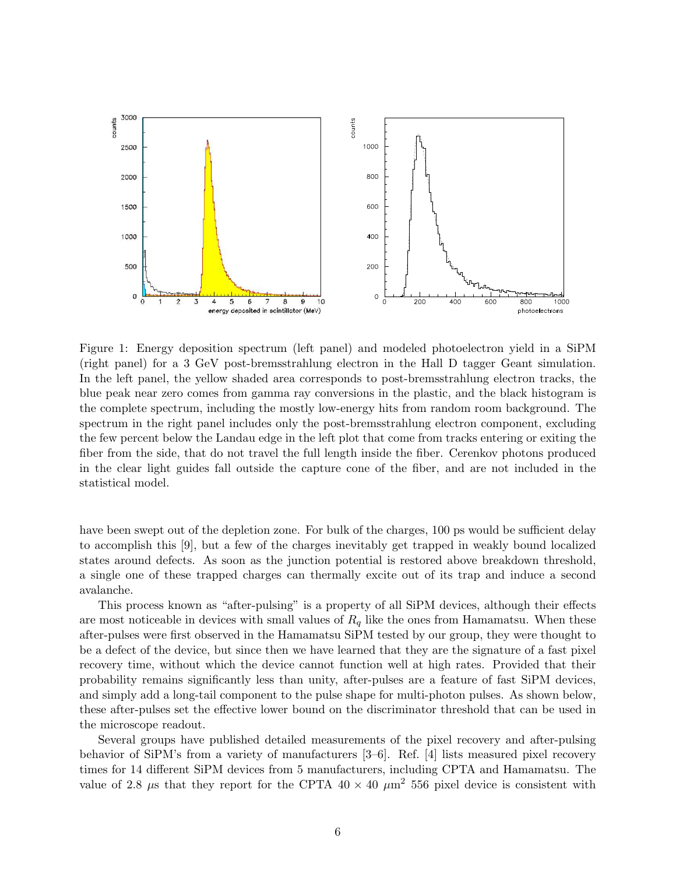

Figure 1: Energy deposition spectrum (left panel) and modeled photoelectron yield in a SiPM (right panel) for a 3 GeV post-bremsstrahlung electron in the Hall D tagger Geant simulation. In the left panel, the yellow shaded area corresponds to post-bremsstrahlung electron tracks, the blue peak near zero comes from gamma ray conversions in the plastic, and the black histogram is the complete spectrum, including the mostly low-energy hits from random room background. The spectrum in the right panel includes only the post-bremsstrahlung electron component, excluding the few percent below the Landau edge in the left plot that come from tracks entering or exiting the fiber from the side, that do not travel the full length inside the fiber. Cerenkov photons produced in the clear light guides fall outside the capture cone of the fiber, and are not included in the statistical model.

have been swept out of the depletion zone. For bulk of the charges, 100 ps would be sufficient delay to accomplish this [9], but a few of the charges inevitably get trapped in weakly bound localized states around defects. As soon as the junction potential is restored above breakdown threshold, a single one of these trapped charges can thermally excite out of its trap and induce a second avalanche.

This process known as "after-pulsing" is a property of all SiPM devices, although their effects are most noticeable in devices with small values of  $R_q$  like the ones from Hamamatsu. When these after-pulses were first observed in the Hamamatsu SiPM tested by our group, they were thought to be a defect of the device, but since then we have learned that they are the signature of a fast pixel recovery time, without which the device cannot function well at high rates. Provided that their probability remains significantly less than unity, after-pulses are a feature of fast SiPM devices, and simply add a long-tail component to the pulse shape for multi-photon pulses. As shown below, these after-pulses set the effective lower bound on the discriminator threshold that can be used in the microscope readout.

Several groups have published detailed measurements of the pixel recovery and after-pulsing behavior of SiPM's from a variety of manufacturers [3–6]. Ref. [4] lists measured pixel recovery times for 14 different SiPM devices from 5 manufacturers, including CPTA and Hamamatsu. The value of 2.8  $\mu$ s that they report for the CPTA 40  $\times$  40  $\mu$ m<sup>2</sup> 556 pixel device is consistent with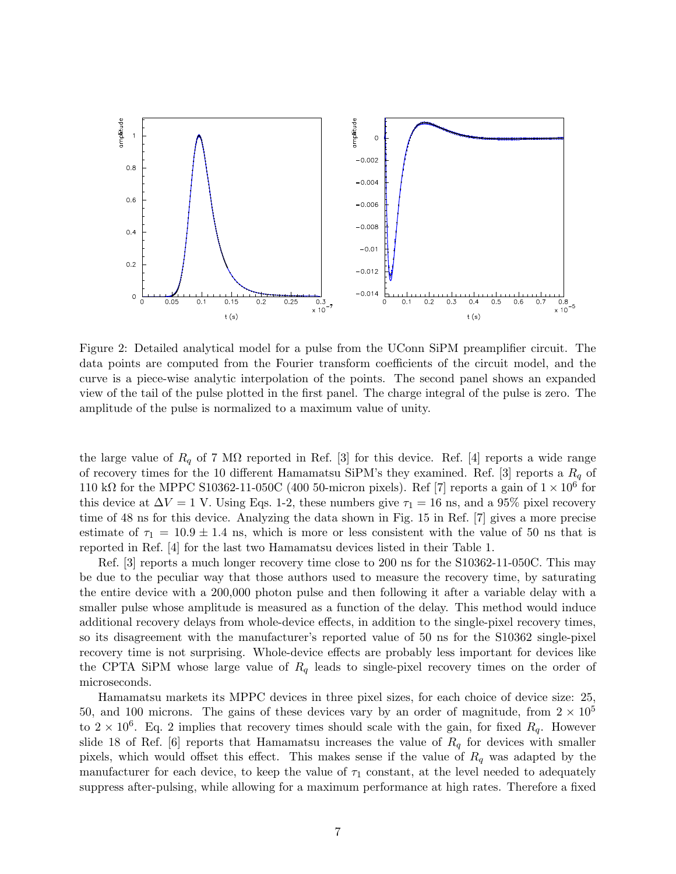

Figure 2: Detailed analytical model for a pulse from the UConn SiPM preamplifier circuit. The data points are computed from the Fourier transform coefficients of the circuit model, and the curve is a piece-wise analytic interpolation of the points. The second panel shows an expanded view of the tail of the pulse plotted in the first panel. The charge integral of the pulse is zero. The amplitude of the pulse is normalized to a maximum value of unity.

the large value of  $R_q$  of 7 M $\Omega$  reported in Ref. [3] for this device. Ref. [4] reports a wide range of recovery times for the 10 different Hamamatsu SiPM's they examined. Ref. [3] reports a  $R_q$  of 110 kΩ for the MPPC S10362-11-050C (400 50-micron pixels). Ref [7] reports a gain of  $1 \times 10^6$  for this device at  $\Delta V = 1$  V. Using Eqs. 1-2, these numbers give  $\tau_1 = 16$  ns, and a 95% pixel recovery time of 48 ns for this device. Analyzing the data shown in Fig. 15 in Ref. [7] gives a more precise estimate of  $\tau_1 = 10.9 \pm 1.4$  ns, which is more or less consistent with the value of 50 ns that is reported in Ref. [4] for the last two Hamamatsu devices listed in their Table 1.

Ref. [3] reports a much longer recovery time close to 200 ns for the S10362-11-050C. This may be due to the peculiar way that those authors used to measure the recovery time, by saturating the entire device with a 200,000 photon pulse and then following it after a variable delay with a smaller pulse whose amplitude is measured as a function of the delay. This method would induce additional recovery delays from whole-device effects, in addition to the single-pixel recovery times, so its disagreement with the manufacturer's reported value of 50 ns for the S10362 single-pixel recovery time is not surprising. Whole-device effects are probably less important for devices like the CPTA SiPM whose large value of  $R_q$  leads to single-pixel recovery times on the order of microseconds.

Hamamatsu markets its MPPC devices in three pixel sizes, for each choice of device size: 25, 50, and 100 microns. The gains of these devices vary by an order of magnitude, from  $2 \times 10^5$ to  $2 \times 10^6$ . Eq. 2 implies that recovery times should scale with the gain, for fixed  $R_q$ . However slide 18 of Ref. [6] reports that Hamamatsu increases the value of  $R_q$  for devices with smaller pixels, which would offset this effect. This makes sense if the value of  $R_q$  was adapted by the manufacturer for each device, to keep the value of  $\tau_1$  constant, at the level needed to adequately suppress after-pulsing, while allowing for a maximum performance at high rates. Therefore a fixed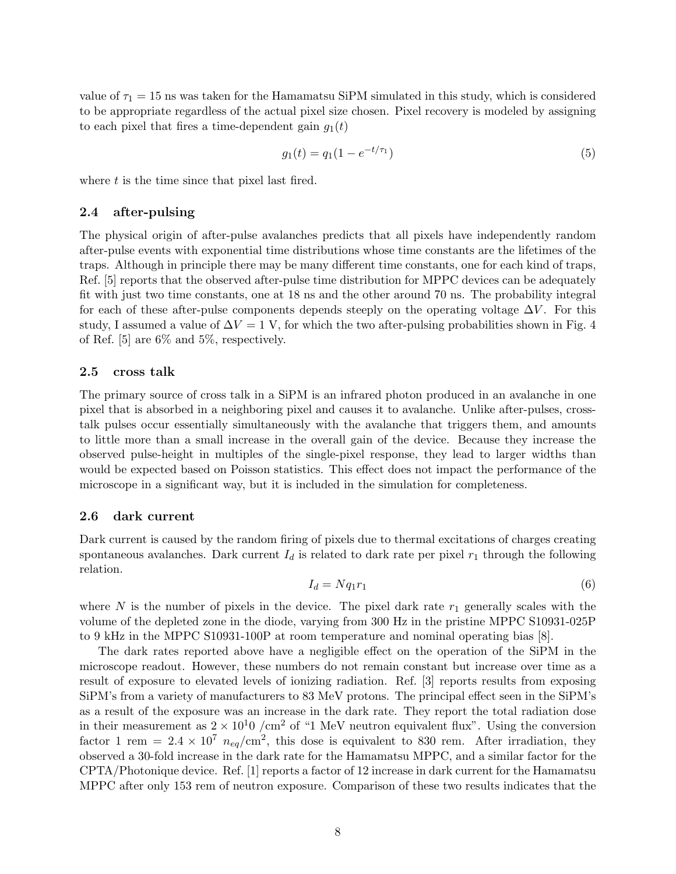value of  $\tau_1 = 15$  ns was taken for the Hamamatsu SiPM simulated in this study, which is considered to be appropriate regardless of the actual pixel size chosen. Pixel recovery is modeled by assigning to each pixel that fires a time-dependent gain  $g_1(t)$ 

$$
g_1(t) = q_1(1 - e^{-t/\tau_1})
$$
\n(5)

where  $t$  is the time since that pixel last fired.

#### 2.4 after-pulsing

The physical origin of after-pulse avalanches predicts that all pixels have independently random after-pulse events with exponential time distributions whose time constants are the lifetimes of the traps. Although in principle there may be many different time constants, one for each kind of traps, Ref. [5] reports that the observed after-pulse time distribution for MPPC devices can be adequately fit with just two time constants, one at 18 ns and the other around 70 ns. The probability integral for each of these after-pulse components depends steeply on the operating voltage  $\Delta V$ . For this study, I assumed a value of  $\Delta V = 1$  V, for which the two after-pulsing probabilities shown in Fig. 4 of Ref. [5] are 6% and 5%, respectively.

#### 2.5 cross talk

The primary source of cross talk in a SiPM is an infrared photon produced in an avalanche in one pixel that is absorbed in a neighboring pixel and causes it to avalanche. Unlike after-pulses, crosstalk pulses occur essentially simultaneously with the avalanche that triggers them, and amounts to little more than a small increase in the overall gain of the device. Because they increase the observed pulse-height in multiples of the single-pixel response, they lead to larger widths than would be expected based on Poisson statistics. This effect does not impact the performance of the microscope in a significant way, but it is included in the simulation for completeness.

#### 2.6 dark current

Dark current is caused by the random firing of pixels due to thermal excitations of charges creating spontaneous avalanches. Dark current  $I_d$  is related to dark rate per pixel  $r_1$  through the following relation.

$$
I_d = Nq_1r_1\tag{6}
$$

where N is the number of pixels in the device. The pixel dark rate  $r_1$  generally scales with the volume of the depleted zone in the diode, varying from 300 Hz in the pristine MPPC S10931-025P to 9 kHz in the MPPC S10931-100P at room temperature and nominal operating bias [8].

The dark rates reported above have a negligible effect on the operation of the SiPM in the microscope readout. However, these numbers do not remain constant but increase over time as a result of exposure to elevated levels of ionizing radiation. Ref. [3] reports results from exposing SiPM's from a variety of manufacturers to 83 MeV protons. The principal effect seen in the SiPM's as a result of the exposure was an increase in the dark rate. They report the total radiation dose in their measurement as  $2 \times 10^{10}$  /cm<sup>2</sup> of "1 MeV neutron equivalent flux". Using the conversion factor 1 rem =  $2.4 \times 10^7$   $n_{eq}/\text{cm}^2$ , this dose is equivalent to 830 rem. After irradiation, they observed a 30-fold increase in the dark rate for the Hamamatsu MPPC, and a similar factor for the CPTA/Photonique device. Ref. [1] reports a factor of 12 increase in dark current for the Hamamatsu MPPC after only 153 rem of neutron exposure. Comparison of these two results indicates that the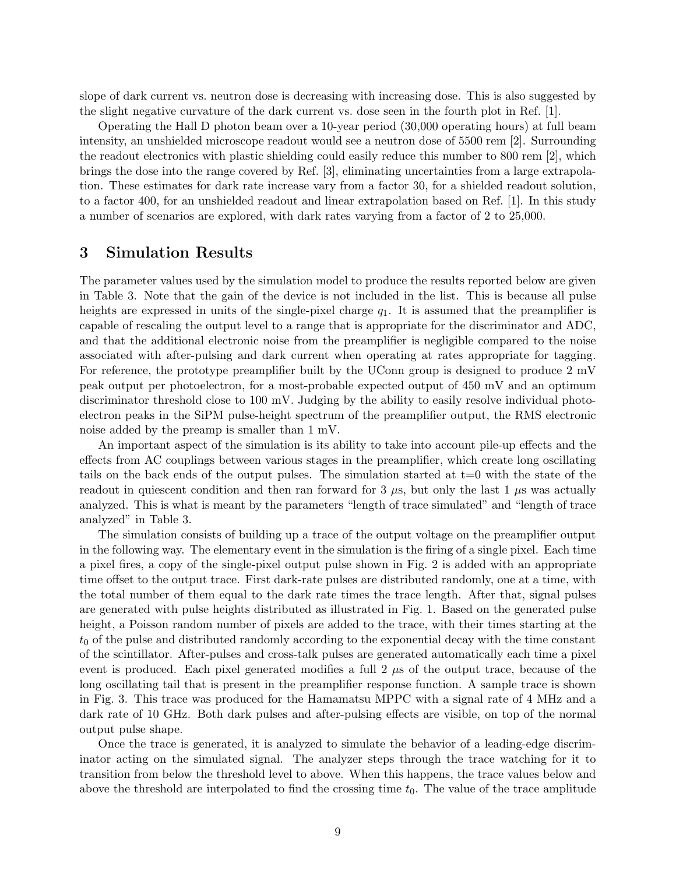slope of dark current vs. neutron dose is decreasing with increasing dose. This is also suggested by the slight negative curvature of the dark current vs. dose seen in the fourth plot in Ref. [1].

Operating the Hall D photon beam over a 10-year period (30,000 operating hours) at full beam intensity, an unshielded microscope readout would see a neutron dose of 5500 rem [2]. Surrounding the readout electronics with plastic shielding could easily reduce this number to 800 rem [2], which brings the dose into the range covered by Ref. [3], eliminating uncertainties from a large extrapolation. These estimates for dark rate increase vary from a factor 30, for a shielded readout solution, to a factor 400, for an unshielded readout and linear extrapolation based on Ref. [1]. In this study a number of scenarios are explored, with dark rates varying from a factor of 2 to 25,000.

### 3 Simulation Results

The parameter values used by the simulation model to produce the results reported below are given in Table 3. Note that the gain of the device is not included in the list. This is because all pulse heights are expressed in units of the single-pixel charge  $q_1$ . It is assumed that the preamplifier is capable of rescaling the output level to a range that is appropriate for the discriminator and ADC, and that the additional electronic noise from the preamplifier is negligible compared to the noise associated with after-pulsing and dark current when operating at rates appropriate for tagging. For reference, the prototype preamplifier built by the UConn group is designed to produce 2 mV peak output per photoelectron, for a most-probable expected output of 450 mV and an optimum discriminator threshold close to 100 mV. Judging by the ability to easily resolve individual photoelectron peaks in the SiPM pulse-height spectrum of the preamplifier output, the RMS electronic noise added by the preamp is smaller than 1 mV.

An important aspect of the simulation is its ability to take into account pile-up effects and the effects from AC couplings between various stages in the preamplifier, which create long oscillating tails on the back ends of the output pulses. The simulation started at  $t=0$  with the state of the readout in quiescent condition and then ran forward for 3  $\mu$ s, but only the last 1  $\mu$ s was actually analyzed. This is what is meant by the parameters "length of trace simulated" and "length of trace analyzed" in Table 3.

The simulation consists of building up a trace of the output voltage on the preamplifier output in the following way. The elementary event in the simulation is the firing of a single pixel. Each time a pixel fires, a copy of the single-pixel output pulse shown in Fig. 2 is added with an appropriate time offset to the output trace. First dark-rate pulses are distributed randomly, one at a time, with the total number of them equal to the dark rate times the trace length. After that, signal pulses are generated with pulse heights distributed as illustrated in Fig. 1. Based on the generated pulse height, a Poisson random number of pixels are added to the trace, with their times starting at the  $t_0$  of the pulse and distributed randomly according to the exponential decay with the time constant of the scintillator. After-pulses and cross-talk pulses are generated automatically each time a pixel event is produced. Each pixel generated modifies a full 2  $\mu$ s of the output trace, because of the long oscillating tail that is present in the preamplifier response function. A sample trace is shown in Fig. 3. This trace was produced for the Hamamatsu MPPC with a signal rate of 4 MHz and a dark rate of 10 GHz. Both dark pulses and after-pulsing effects are visible, on top of the normal output pulse shape.

Once the trace is generated, it is analyzed to simulate the behavior of a leading-edge discriminator acting on the simulated signal. The analyzer steps through the trace watching for it to transition from below the threshold level to above. When this happens, the trace values below and above the threshold are interpolated to find the crossing time  $t_0$ . The value of the trace amplitude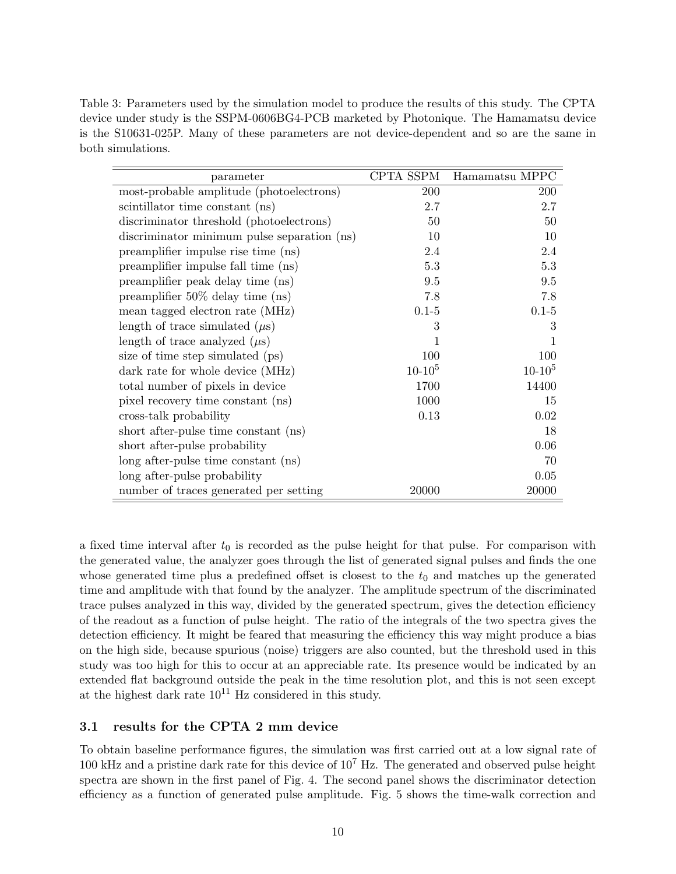Table 3: Parameters used by the simulation model to produce the results of this study. The CPTA device under study is the SSPM-0606BG4-PCB marketed by Photonique. The Hamamatsu device is the S10631-025P. Many of these parameters are not device-dependent and so are the same in both simulations.

| parameter                                   | CPTA SSPM | Hamamatsu MPPC |
|---------------------------------------------|-----------|----------------|
| most-probable amplitude (photoelectrons)    | 200       | 200            |
| scintillator time constant (ns)             | 2.7       | 2.7            |
| discriminator threshold (photoelectrons)    | 50        | 50             |
| discriminator minimum pulse separation (ns) | 10        | 10             |
| preamplifier impulse rise time (ns)         | 2.4       | 2.4            |
| preamplifier impulse fall time (ns)         | 5.3       | 5.3            |
| preamplifier peak delay time (ns)           | 9.5       | 9.5            |
| preamplifier $50\%$ delay time (ns)         | 7.8       | 7.8            |
| mean tagged electron rate (MHz)             | $0.1 - 5$ | $0.1 - 5$      |
| length of trace simulated $(\mu s)$         | 3         | 3              |
| length of trace analyzed $(\mu s)$          | 1         |                |
| size of time step simulated (ps)            | 100       | 100            |
| dark rate for whole device (MHz)            | $10-10^5$ | $10-10^5$      |
| total number of pixels in device            | 1700      | 14400          |
| pixel recovery time constant (ns)           | 1000      | 15             |
| cross-talk probability                      | 0.13      | 0.02           |
| short after-pulse time constant (ns)        |           | 18             |
| short after-pulse probability               |           | 0.06           |
| long after-pulse time constant (ns)         |           | 70             |
| long after-pulse probability                |           | 0.05           |
| number of traces generated per setting      | 20000     | 20000          |

a fixed time interval after  $t_0$  is recorded as the pulse height for that pulse. For comparison with the generated value, the analyzer goes through the list of generated signal pulses and finds the one whose generated time plus a predefined offset is closest to the  $t_0$  and matches up the generated time and amplitude with that found by the analyzer. The amplitude spectrum of the discriminated trace pulses analyzed in this way, divided by the generated spectrum, gives the detection efficiency of the readout as a function of pulse height. The ratio of the integrals of the two spectra gives the detection efficiency. It might be feared that measuring the efficiency this way might produce a bias on the high side, because spurious (noise) triggers are also counted, but the threshold used in this study was too high for this to occur at an appreciable rate. Its presence would be indicated by an extended flat background outside the peak in the time resolution plot, and this is not seen except at the highest dark rate  $10^{11}$  Hz considered in this study.

### 3.1 results for the CPTA 2 mm device

To obtain baseline performance figures, the simulation was first carried out at a low signal rate of 100 kHz and a pristine dark rate for this device of  $10^7$  Hz. The generated and observed pulse height spectra are shown in the first panel of Fig. 4. The second panel shows the discriminator detection efficiency as a function of generated pulse amplitude. Fig. 5 shows the time-walk correction and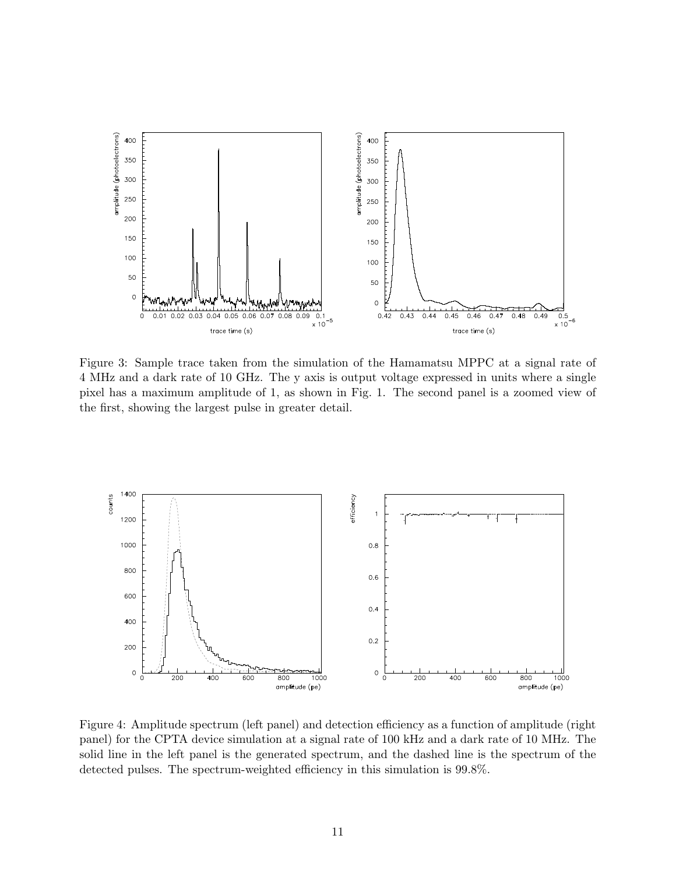

Figure 3: Sample trace taken from the simulation of the Hamamatsu MPPC at a signal rate of 4 MHz and a dark rate of 10 GHz. The y axis is output voltage expressed in units where a single pixel has a maximum amplitude of 1, as shown in Fig. 1. The second panel is a zoomed view of the first, showing the largest pulse in greater detail.



Figure 4: Amplitude spectrum (left panel) and detection efficiency as a function of amplitude (right panel) for the CPTA device simulation at a signal rate of 100 kHz and a dark rate of 10 MHz. The solid line in the left panel is the generated spectrum, and the dashed line is the spectrum of the detected pulses. The spectrum-weighted efficiency in this simulation is 99.8%.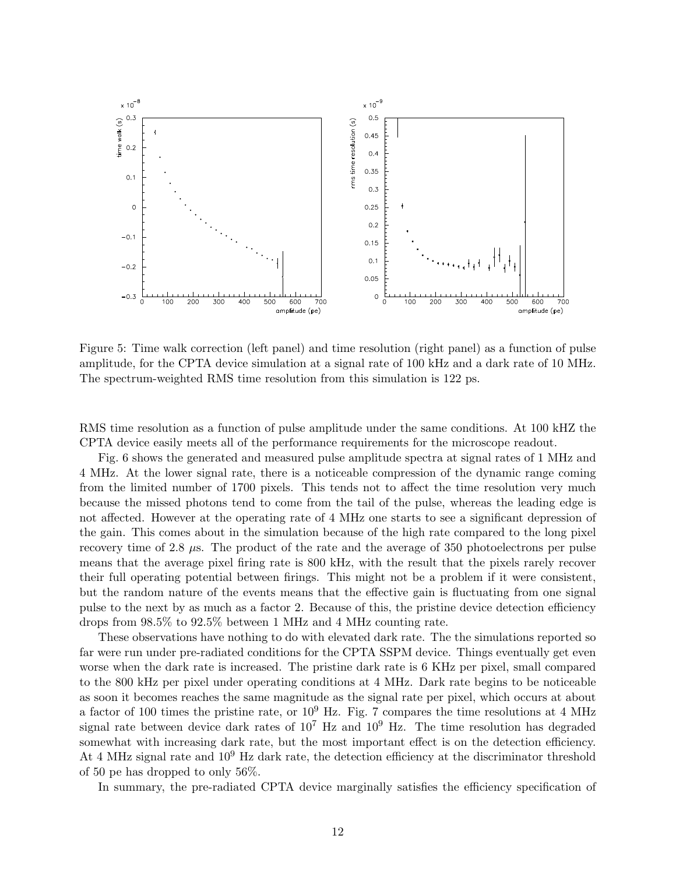

Figure 5: Time walk correction (left panel) and time resolution (right panel) as a function of pulse amplitude, for the CPTA device simulation at a signal rate of 100 kHz and a dark rate of 10 MHz. The spectrum-weighted RMS time resolution from this simulation is 122 ps.

RMS time resolution as a function of pulse amplitude under the same conditions. At 100 kHZ the CPTA device easily meets all of the performance requirements for the microscope readout.

Fig. 6 shows the generated and measured pulse amplitude spectra at signal rates of 1 MHz and 4 MHz. At the lower signal rate, there is a noticeable compression of the dynamic range coming from the limited number of 1700 pixels. This tends not to affect the time resolution very much because the missed photons tend to come from the tail of the pulse, whereas the leading edge is not affected. However at the operating rate of 4 MHz one starts to see a significant depression of the gain. This comes about in the simulation because of the high rate compared to the long pixel recovery time of 2.8 µs. The product of the rate and the average of 350 photoelectrons per pulse means that the average pixel firing rate is 800 kHz, with the result that the pixels rarely recover their full operating potential between firings. This might not be a problem if it were consistent, but the random nature of the events means that the effective gain is fluctuating from one signal pulse to the next by as much as a factor 2. Because of this, the pristine device detection efficiency drops from 98.5% to 92.5% between 1 MHz and 4 MHz counting rate.

These observations have nothing to do with elevated dark rate. The the simulations reported so far were run under pre-radiated conditions for the CPTA SSPM device. Things eventually get even worse when the dark rate is increased. The pristine dark rate is 6 KHz per pixel, small compared to the 800 kHz per pixel under operating conditions at 4 MHz. Dark rate begins to be noticeable as soon it becomes reaches the same magnitude as the signal rate per pixel, which occurs at about a factor of 100 times the pristine rate, or  $10^9$  Hz. Fig. 7 compares the time resolutions at 4 MHz signal rate between device dark rates of  $10^7$  Hz and  $10^9$  Hz. The time resolution has degraded somewhat with increasing dark rate, but the most important effect is on the detection efficiency. At 4 MHz signal rate and  $10^9$  Hz dark rate, the detection efficiency at the discriminator threshold of 50 pe has dropped to only 56%.

In summary, the pre-radiated CPTA device marginally satisfies the efficiency specification of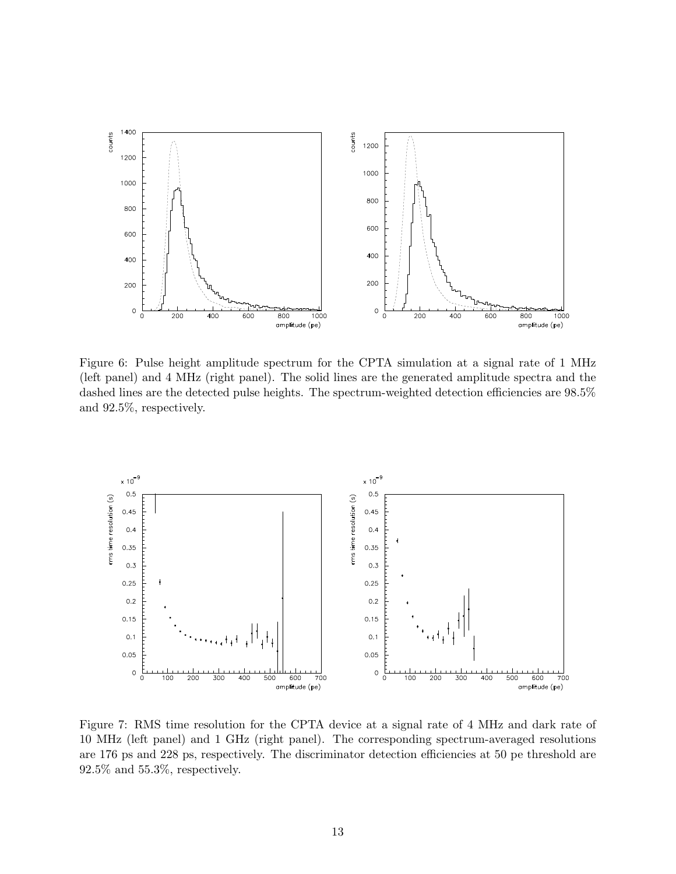

Figure 6: Pulse height amplitude spectrum for the CPTA simulation at a signal rate of 1 MHz (left panel) and 4 MHz (right panel). The solid lines are the generated amplitude spectra and the dashed lines are the detected pulse heights. The spectrum-weighted detection efficiencies are 98.5% and 92.5%, respectively.



Figure 7: RMS time resolution for the CPTA device at a signal rate of 4 MHz and dark rate of 10 MHz (left panel) and 1 GHz (right panel). The corresponding spectrum-averaged resolutions are 176 ps and 228 ps, respectively. The discriminator detection efficiencies at 50 pe threshold are 92.5% and 55.3%, respectively.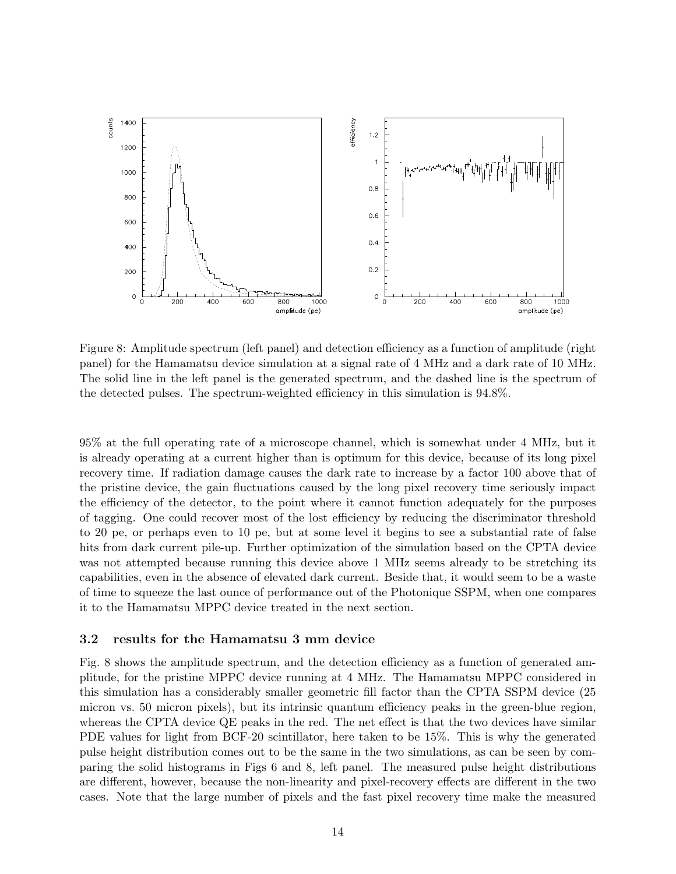

Figure 8: Amplitude spectrum (left panel) and detection efficiency as a function of amplitude (right panel) for the Hamamatsu device simulation at a signal rate of 4 MHz and a dark rate of 10 MHz. The solid line in the left panel is the generated spectrum, and the dashed line is the spectrum of the detected pulses. The spectrum-weighted efficiency in this simulation is 94.8%.

95% at the full operating rate of a microscope channel, which is somewhat under 4 MHz, but it is already operating at a current higher than is optimum for this device, because of its long pixel recovery time. If radiation damage causes the dark rate to increase by a factor 100 above that of the pristine device, the gain fluctuations caused by the long pixel recovery time seriously impact the efficiency of the detector, to the point where it cannot function adequately for the purposes of tagging. One could recover most of the lost efficiency by reducing the discriminator threshold to 20 pe, or perhaps even to 10 pe, but at some level it begins to see a substantial rate of false hits from dark current pile-up. Further optimization of the simulation based on the CPTA device was not attempted because running this device above 1 MHz seems already to be stretching its capabilities, even in the absence of elevated dark current. Beside that, it would seem to be a waste of time to squeeze the last ounce of performance out of the Photonique SSPM, when one compares it to the Hamamatsu MPPC device treated in the next section.

#### 3.2 results for the Hamamatsu 3 mm device

Fig. 8 shows the amplitude spectrum, and the detection efficiency as a function of generated amplitude, for the pristine MPPC device running at 4 MHz. The Hamamatsu MPPC considered in this simulation has a considerably smaller geometric fill factor than the CPTA SSPM device (25 micron vs. 50 micron pixels), but its intrinsic quantum efficiency peaks in the green-blue region, whereas the CPTA device QE peaks in the red. The net effect is that the two devices have similar PDE values for light from BCF-20 scintillator, here taken to be 15%. This is why the generated pulse height distribution comes out to be the same in the two simulations, as can be seen by comparing the solid histograms in Figs 6 and 8, left panel. The measured pulse height distributions are different, however, because the non-linearity and pixel-recovery effects are different in the two cases. Note that the large number of pixels and the fast pixel recovery time make the measured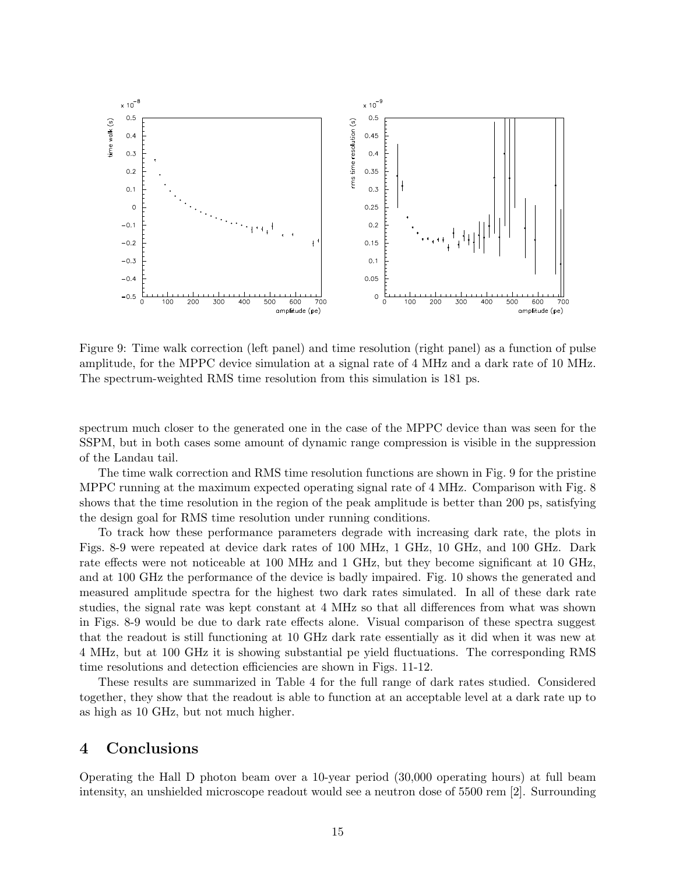

Figure 9: Time walk correction (left panel) and time resolution (right panel) as a function of pulse amplitude, for the MPPC device simulation at a signal rate of 4 MHz and a dark rate of 10 MHz. The spectrum-weighted RMS time resolution from this simulation is 181 ps.

spectrum much closer to the generated one in the case of the MPPC device than was seen for the SSPM, but in both cases some amount of dynamic range compression is visible in the suppression of the Landau tail.

The time walk correction and RMS time resolution functions are shown in Fig. 9 for the pristine MPPC running at the maximum expected operating signal rate of 4 MHz. Comparison with Fig. 8 shows that the time resolution in the region of the peak amplitude is better than 200 ps, satisfying the design goal for RMS time resolution under running conditions.

To track how these performance parameters degrade with increasing dark rate, the plots in Figs. 8-9 were repeated at device dark rates of 100 MHz, 1 GHz, 10 GHz, and 100 GHz. Dark rate effects were not noticeable at 100 MHz and 1 GHz, but they become significant at 10 GHz, and at 100 GHz the performance of the device is badly impaired. Fig. 10 shows the generated and measured amplitude spectra for the highest two dark rates simulated. In all of these dark rate studies, the signal rate was kept constant at 4 MHz so that all differences from what was shown in Figs. 8-9 would be due to dark rate effects alone. Visual comparison of these spectra suggest that the readout is still functioning at 10 GHz dark rate essentially as it did when it was new at 4 MHz, but at 100 GHz it is showing substantial pe yield fluctuations. The corresponding RMS time resolutions and detection efficiencies are shown in Figs. 11-12.

These results are summarized in Table 4 for the full range of dark rates studied. Considered together, they show that the readout is able to function at an acceptable level at a dark rate up to as high as 10 GHz, but not much higher.

# 4 Conclusions

Operating the Hall D photon beam over a 10-year period (30,000 operating hours) at full beam intensity, an unshielded microscope readout would see a neutron dose of 5500 rem [2]. Surrounding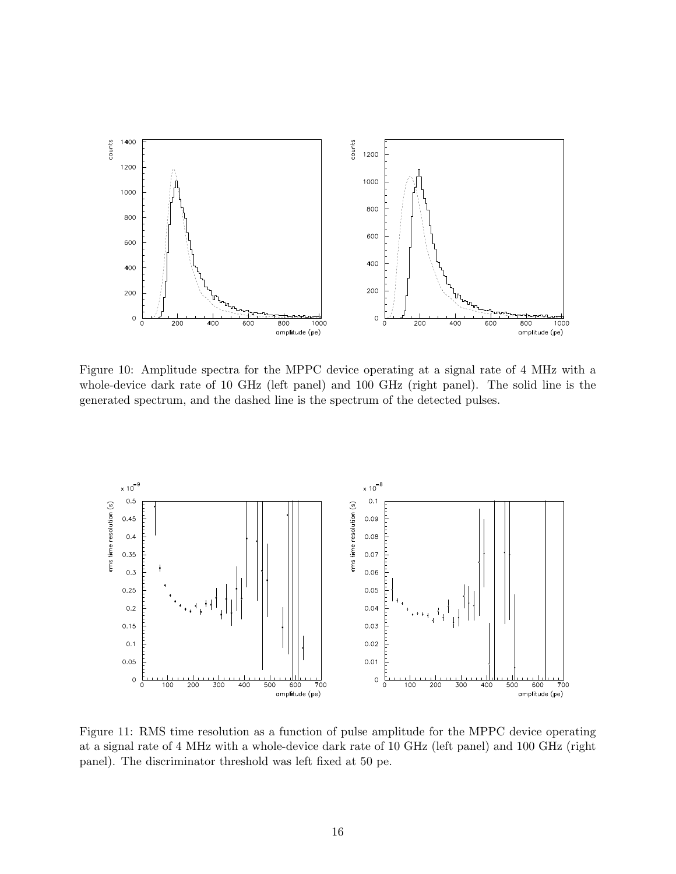

Figure 10: Amplitude spectra for the MPPC device operating at a signal rate of 4 MHz with a whole-device dark rate of 10 GHz (left panel) and 100 GHz (right panel). The solid line is the generated spectrum, and the dashed line is the spectrum of the detected pulses.



Figure 11: RMS time resolution as a function of pulse amplitude for the MPPC device operating at a signal rate of 4 MHz with a whole-device dark rate of 10 GHz (left panel) and 100 GHz (right panel). The discriminator threshold was left fixed at 50 pe.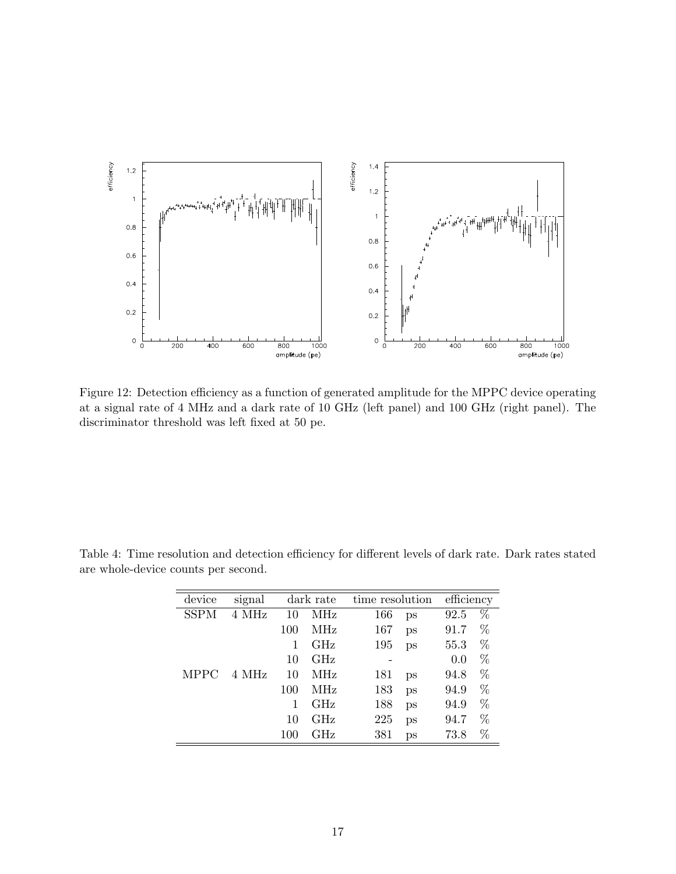

Figure 12: Detection efficiency as a function of generated amplitude for the MPPC device operating at a signal rate of 4 MHz and a dark rate of 10 GHz (left panel) and 100 GHz (right panel). The discriminator threshold was left fixed at 50 pe.

| device      | signal | dark rate |            | time resolution |    | efficiency |   |
|-------------|--------|-----------|------------|-----------------|----|------------|---|
| <b>SSPM</b> | 4 MHz  | 10        | MHz        | 166             | ps | 92.5       | % |
|             |        | 100       | MHz        | 167             | ps | 91.7       | % |
|             |        | 1         | GHz        | 195             | ps | 55.3       | % |
|             |        | 10        | GHz        |                 |    | 0.0        | % |
| <b>MPPC</b> | 4 MHz  | 10        | <b>MHz</b> | 181             | ps | 94.8       | % |
|             |        | 100       | MHz        | 183             | ps | 94.9       | % |
|             |        | 1         | $\rm GHz$  | 188             | ps | 94.9       | % |
|             |        | 10        | GHz        | 225             | ps | 94.7       | % |
|             |        | 100       | GHz        | 381             | ps | 73.8       | % |

Table 4: Time resolution and detection efficiency for different levels of dark rate. Dark rates stated are whole-device counts per second.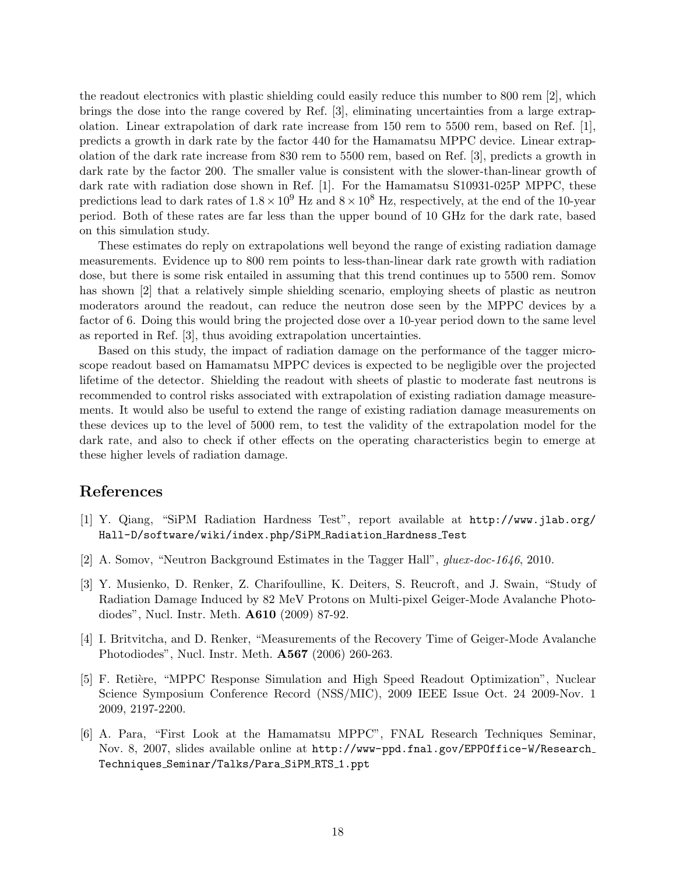the readout electronics with plastic shielding could easily reduce this number to 800 rem [2], which brings the dose into the range covered by Ref. [3], eliminating uncertainties from a large extrapolation. Linear extrapolation of dark rate increase from 150 rem to 5500 rem, based on Ref. [1], predicts a growth in dark rate by the factor 440 for the Hamamatsu MPPC device. Linear extrapolation of the dark rate increase from 830 rem to 5500 rem, based on Ref. [3], predicts a growth in dark rate by the factor 200. The smaller value is consistent with the slower-than-linear growth of dark rate with radiation dose shown in Ref. [1]. For the Hamamatsu S10931-025P MPPC, these predictions lead to dark rates of  $1.8 \times 10^9$  Hz and  $8 \times 10^8$  Hz, respectively, at the end of the 10-year period. Both of these rates are far less than the upper bound of 10 GHz for the dark rate, based on this simulation study.

These estimates do reply on extrapolations well beyond the range of existing radiation damage measurements. Evidence up to 800 rem points to less-than-linear dark rate growth with radiation dose, but there is some risk entailed in assuming that this trend continues up to 5500 rem. Somov has shown [2] that a relatively simple shielding scenario, employing sheets of plastic as neutron moderators around the readout, can reduce the neutron dose seen by the MPPC devices by a factor of 6. Doing this would bring the projected dose over a 10-year period down to the same level as reported in Ref. [3], thus avoiding extrapolation uncertainties.

Based on this study, the impact of radiation damage on the performance of the tagger microscope readout based on Hamamatsu MPPC devices is expected to be negligible over the projected lifetime of the detector. Shielding the readout with sheets of plastic to moderate fast neutrons is recommended to control risks associated with extrapolation of existing radiation damage measurements. It would also be useful to extend the range of existing radiation damage measurements on these devices up to the level of 5000 rem, to test the validity of the extrapolation model for the dark rate, and also to check if other effects on the operating characteristics begin to emerge at these higher levels of radiation damage.

### References

- [1] Y. Qiang, "SiPM Radiation Hardness Test", report available at http://www.jlab.org/ Hall-D/software/wiki/index.php/SiPM Radiation Hardness Test
- [2] A. Somov, "Neutron Background Estimates in the Tagger Hall", gluex-doc-1646, 2010.
- [3] Y. Musienko, D. Renker, Z. Charifoulline, K. Deiters, S. Reucroft, and J. Swain, "Study of Radiation Damage Induced by 82 MeV Protons on Multi-pixel Geiger-Mode Avalanche Photodiodes", Nucl. Instr. Meth. A610 (2009) 87-92.
- [4] I. Britvitcha, and D. Renker, "Measurements of the Recovery Time of Geiger-Mode Avalanche Photodiodes", Nucl. Instr. Meth. A567 (2006) 260-263.
- [5] F. Retière, "MPPC Response Simulation and High Speed Readout Optimization", Nuclear Science Symposium Conference Record (NSS/MIC), 2009 IEEE Issue Oct. 24 2009-Nov. 1 2009, 2197-2200.
- [6] A. Para, "First Look at the Hamamatsu MPPC", FNAL Research Techniques Seminar, Nov. 8, 2007, slides available online at http://www-ppd.fnal.gov/EPPOffice-W/Research Techniques Seminar/Talks/Para SiPM RTS 1.ppt